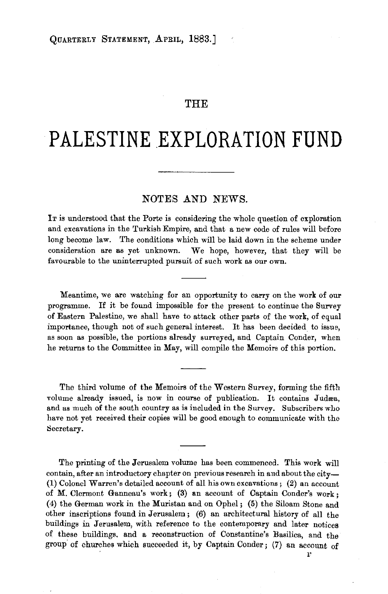## THE

# PALESTINE EXPLORATION FUND

#### NOTES AND NEWS.

IT is understood that the Porte is considering the whole question of exploration and excavations in the Turkish Empire, and that a new code of rules will before long become law. The conditions which will be laid down in the scheme under consideration are as yet unknown. We hope, however, that they will be favourable to the uninterrupted pursuit of such work as our own.

Meantime, we are watching for an opportunity to carry on the work of our programme. I£ it be found impossible for the present to continue the Survey of Eastern Palestine, we shall have to attack other parts of the work, of equal importance, though not of such general interest. It has been decided to issue, as soon as possible, the portions already surveyed, and Captain Conder, when he returns to the Committee in May, will compile the Memoirs of this portion.

The third volume of the Memoirs of the Western Survey, forming the fifth volume already issued, is now in course of publication. It contains Judæa, and as much of the south country as is included in the Survey. Subscribers who have not yet received their copies will be good enough to communicate with the Secretary.

The printing of the Jerusalem volume has been commenced. This work will contain, after an introductory chapter on previous research in and about the city-(1) Colonel Warren's detailed account of all his own excavations; (2) an account of M. Clermont Ganneau's work; (3) an account of Captain Conder's work ; (4) the German work in the Muristan and on Ophel; (5) the Siloam Stone and other inscriptions found in Jerusalem; (6) an architectural history of all the buildings in Jerusalem, with reference to the contemporary and later notices of these buildings, and a reconstruction of Constantine's Basilica, and the group of churches which succeeded it, by Captain Conder; (7) an account of r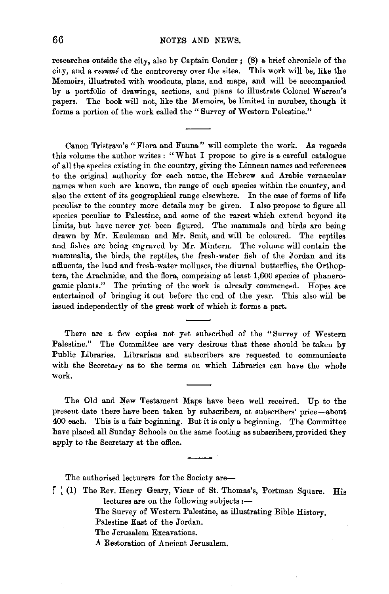### **66 NOTES** AND NEWS.

researches outside the city, also by Captain Conder ; (8) a brief chronicle of the city, and a *resume* nf the controversy over the sites. This work will be, like the Memoirs, illustrated with woodcuts, plans, and maps, and will be accompanied by a portfolio of drawings, sections, and plans to illustrate Colonel Warren's papers. The book will not, like the Memoirs, be limited in number, though it forms a portion of the work called the " Survey of Western Palestine."

Canon Tristram's "Flora and Fauna" will complete the work. As regards this volume the author writes : " What I propose to give is a careful catalogue of all the species existing in the country, giving the Linnean names and references to the original authority for each name, the Hebrew and Arabic vernacular names when such are known, the range of each species within the country, and also the extent of its geographical range elsewhere. In the case of forms of life peculiar to the country more details may be given. I also propose to figure all species peculiar to Palestine, and some of the rarest which extend beyond its limits, but have never yet been figured. The mammals and birds are being drawn by Mr. Keuleman and Mr. Smit, and will be coloured. The reptiles and fishes are being engraved by Mr. Mintern. The volume will contain the mammalia, the birds, the reptiles, the fresh-water fish of the Jordan and its afBuents, the land and fresh-water molluscs, the diurnal butterflies, the Orthop· tera, the Arachnidæ, and the flora, comprising at least 1,600 species of phanerogamic plants." The printing of the work is already commenced. Hopes are entertained of bringing it out before the end of the year. This also will be issued independently of the great work of which it forms a part.

There are a few copies not yet subscribed of the "Survey of Western Palestine." The Committee are very desirous that these should be taken by Public Libraries. Librarians and subscribers are requested to communicate with the Secretary as to the terms on which Libraries can have the whole work.

The Old and New Testament Maps have been well received. Up to the present date there have been taken by subscribers, at subscribers' price-about 400 each. This is a fair beginning. But it is only a beginning. The Committee have placed all Sunday Schools on the same footing as subscribers, provided they apply to the Secretary at the office.

The authorised lecturers for the Society are-

| [ (1) The Rev. Henry Geary, Vicar of St. Thomas's, Portman Square. His |  |  |  |  |
|------------------------------------------------------------------------|--|--|--|--|
| lectures are on the following subjects :-                              |  |  |  |  |

The Survey of Western Palestine, as illustrating Bible History.

Palestine East of the Jordan.

The Jerusalem Excavations.

.A Restoration of Ancient Jerusalem.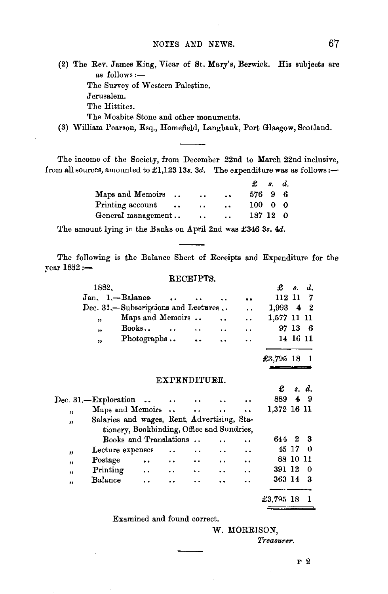(2) The Rev. James King, Vicar of St. Mary's, Berwick. His subjects are as follows :-The Survey of Western Palestine. Jerusalem. The Hittites. The Moabite Stone and other monuments.

(3) William Pearson, Esq., Homefield, Langbank, Port Glasgow, Scotland.

The income of the Society, from December 22nd to March 22nd inclusive, from all sources, amounted to £1,123 13s. 3d. The expenditure was as follows: $-$ 

|                                   |                      |                      | Ф.            | s. d. |     |
|-----------------------------------|----------------------|----------------------|---------------|-------|-----|
| Maps and Memoirs                  | $\ddot{\phantom{a}}$ | $\sim$               | 576 9         |       |     |
| Printing account<br>$\cdot \cdot$ | $\ddot{\phantom{0}}$ | $\ddot{\phantom{a}}$ | $100 \quad 0$ |       | - 0 |
| General management                | $\ddot{\phantom{a}}$ | $\ddot{\phantom{a}}$ | 187 12        |       | - 0 |

The amount lying in the Banks on April 2nd was £346 3s. 4d.

The following is the Balance Sheet of Receipts and Expenditure for the  $year 1882 :=$ 

#### RECEIPTS.

|    | 1882.                |                                             |                      |                      |                      |                      | £             |          | s. d.          |
|----|----------------------|---------------------------------------------|----------------------|----------------------|----------------------|----------------------|---------------|----------|----------------|
|    |                      | Jan. 1.-Balance                             |                      |                      |                      |                      | 112 11 7      |          |                |
|    |                      | Dec. 31.-Subscriptions and Lectures         |                      |                      |                      | $\ddot{\phantom{a}}$ | $1,993$ 4 2   |          |                |
|    | ,,                   | Maps and Memoirs                            |                      |                      |                      |                      | 1,577 11 11   |          |                |
|    | ,,                   | Books                                       | $\sim$               | $\ddot{\phantom{a}}$ | $\ddot{\phantom{a}}$ | $\ddot{\phantom{0}}$ |               |          | 97 13 6        |
|    | ,,                   | Photographs                                 |                      | $\ddot{\phantom{a}}$ | $\ddot{\phantom{a}}$ | $\ddot{\phantom{a}}$ |               |          | 14 16 11       |
|    |                      |                                             |                      |                      |                      |                      |               |          |                |
|    |                      |                                             |                      |                      |                      |                      | $£3,795$ 18 1 |          |                |
|    |                      |                                             |                      |                      |                      |                      |               |          |                |
|    |                      |                                             | EXPENDITURE.         |                      |                      |                      |               |          |                |
|    |                      |                                             |                      |                      |                      |                      | £             |          | s. d.          |
|    | Dec. 31.—Exploration | $\ddotsc$                                   | $\ddot{\phantom{0}}$ |                      |                      |                      | 889           | 4        | -9             |
| ,, |                      | Maps and Memoirs                            |                      | $\ddot{\phantom{a}}$ |                      | ٠.                   | 1.372 16 11   |          |                |
| ,  |                      | Salaries and wages, Rent, Advertising, Sta- |                      |                      |                      |                      |               |          |                |
|    |                      | tionery, Bookbinding, Office and Sundries,  |                      |                      |                      |                      |               |          |                |
|    |                      | Books and Translations                      |                      |                      |                      |                      | 644           | 2        | - 3            |
| ,  |                      | Lecture expenses                            |                      | ٠.                   | $\ddot{\phantom{a}}$ | $\ddot{\phantom{0}}$ | 45 17         |          | - 0            |
| ,  | Postage              | $\ddot{\phantom{a}}$                        | $\ddot{\phantom{a}}$ | $\ddot{\phantom{a}}$ | $\ddot{\phantom{a}}$ | $\ddot{\phantom{a}}$ |               | 88 10 11 |                |
| ,, | Printing             | $\ddotsc$                                   | $\ddot{\phantom{a}}$ | $\ddot{\phantom{1}}$ | $\ddot{\phantom{a}}$ |                      | 391 12        |          | 0              |
| ,, | Balance              | $\ddot{\phantom{a}}$                        | $\ddot{\phantom{0}}$ | . .                  | $\ddot{\phantom{0}}$ | $\ddot{\phantom{0}}$ | 363 14        |          | - 3            |
|    |                      |                                             |                      |                      |                      |                      |               |          |                |
|    |                      |                                             |                      |                      |                      |                      | £3.795 18     |          | $\blacksquare$ |
|    |                      |                                             |                      |                      |                      |                      |               |          |                |

Examined and found correct.

W. MORRJSON, *Treasurer.*